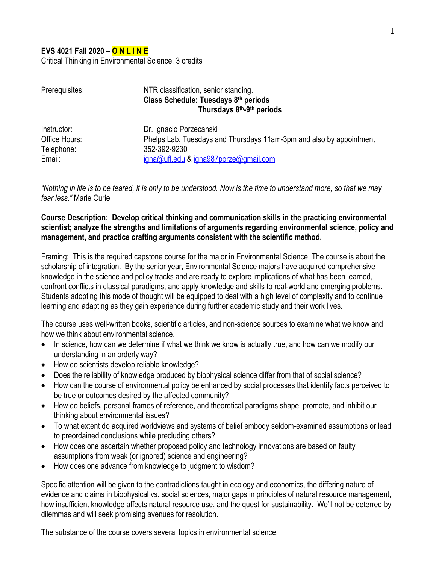### **EVS 4021 Fall 2020 – O N L I N E**

Critical Thinking in Environmental Science, 3 credits

| Prerequisites: | NTR classification, senior standing.                                |
|----------------|---------------------------------------------------------------------|
|                | Class Schedule: Tuesdays 8th periods<br>Thursdays 8th-9th periods   |
|                |                                                                     |
| Office Hours:  | Phelps Lab, Tuesdays and Thursdays 11am-3pm and also by appointment |
| Telephone:     | 352-392-9230                                                        |
| Email:         | igna@ufl.edu & igna987porze@gmail.com                               |

*"Nothing in life is to be feared, it is only to be understood. Now is the time to understand more, so that we may fear less."* Marie Curie

**Course Description: Develop critical thinking and communication skills in the practicing environmental scientist; analyze the strengths and limitations of arguments regarding environmental science, policy and management, and practice crafting arguments consistent with the scientific method.**

Framing: This is the required capstone course for the major in Environmental Science. The course is about the scholarship of integration. By the senior year, Environmental Science majors have acquired comprehensive knowledge in the science and policy tracks and are ready to explore implications of what has been learned, confront conflicts in classical paradigms, and apply knowledge and skills to real-world and emerging problems. Students adopting this mode of thought will be equipped to deal with a high level of complexity and to continue learning and adapting as they gain experience during further academic study and their work lives.

The course uses well-written books, scientific articles, and non-science sources to examine what we know and how we think about environmental science.

- In science, how can we determine if what we think we know is actually true, and how can we modify our understanding in an orderly way?
- How do scientists develop reliable knowledge?
- Does the reliability of knowledge produced by biophysical science differ from that of social science?
- How can the course of environmental policy be enhanced by social processes that identify facts perceived to be true or outcomes desired by the affected community?
- How do beliefs, personal frames of reference, and theoretical paradigms shape, promote, and inhibit our thinking about environmental issues?
- To what extent do acquired worldviews and systems of belief embody seldom-examined assumptions or lead to preordained conclusions while precluding others?
- How does one ascertain whether proposed policy and technology innovations are based on faulty assumptions from weak (or ignored) science and engineering?
- How does one advance from knowledge to judgment to wisdom?

Specific attention will be given to the contradictions taught in ecology and economics, the differing nature of evidence and claims in biophysical vs. social sciences, major gaps in principles of natural resource management, how insufficient knowledge affects natural resource use, and the quest for sustainability. We'll not be deterred by dilemmas and will seek promising avenues for resolution.

The substance of the course covers several topics in environmental science: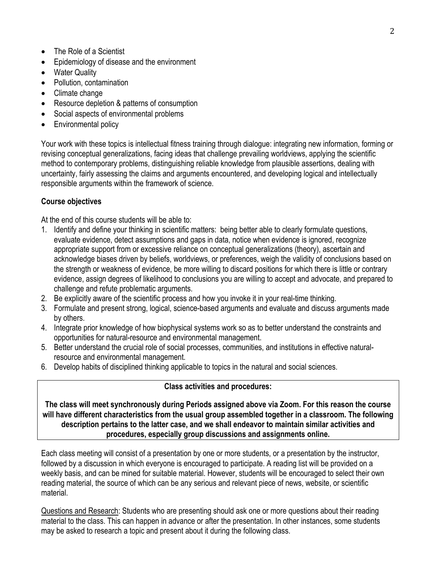- The Role of a Scientist
- Epidemiology of disease and the environment
- Water Quality
- Pollution, contamination
- Climate change
- Resource depletion & patterns of consumption
- Social aspects of environmental problems
- Environmental policy

Your work with these topics is intellectual fitness training through dialogue: integrating new information, forming or revising conceptual generalizations, facing ideas that challenge prevailing worldviews, applying the scientific method to contemporary problems, distinguishing reliable knowledge from plausible assertions, dealing with uncertainty, fairly assessing the claims and arguments encountered, and developing logical and intellectually responsible arguments within the framework of science.

## **Course objectives**

At the end of this course students will be able to:

- 1. Identify and define your thinking in scientific matters: being better able to clearly formulate questions, evaluate evidence, detect assumptions and gaps in data, notice when evidence is ignored, recognize appropriate support from or excessive reliance on conceptual generalizations (theory), ascertain and acknowledge biases driven by beliefs, worldviews, or preferences, weigh the validity of conclusions based on the strength or weakness of evidence, be more willing to discard positions for which there is little or contrary evidence, assign degrees of likelihood to conclusions you are willing to accept and advocate, and prepared to challenge and refute problematic arguments.
- 2. Be explicitly aware of the scientific process and how you invoke it in your real-time thinking.
- 3. Formulate and present strong, logical, science-based arguments and evaluate and discuss arguments made by others.
- 4. Integrate prior knowledge of how biophysical systems work so as to better understand the constraints and opportunities for natural-resource and environmental management.
- 5. Better understand the crucial role of social processes, communities, and institutions in effective naturalresource and environmental management.
- 6. Develop habits of disciplined thinking applicable to topics in the natural and social sciences.

#### **Class activities and procedures:**

**The class will meet synchronously during Periods assigned above via Zoom. For this reason the course will have different characteristics from the usual group assembled together in a classroom. The following description pertains to the latter case, and we shall endeavor to maintain similar activities and procedures, especially group discussions and assignments online.**

Each class meeting will consist of a presentation by one or more students, or a presentation by the instructor, followed by a discussion in which everyone is encouraged to participate. A reading list will be provided on a weekly basis, and can be mined for suitable material. However, students will be encouraged to select their own reading material, the source of which can be any serious and relevant piece of news, website, or scientific material.

Questions and Research: Students who are presenting should ask one or more questions about their reading material to the class. This can happen in advance or after the presentation. In other instances, some students may be asked to research a topic and present about it during the following class.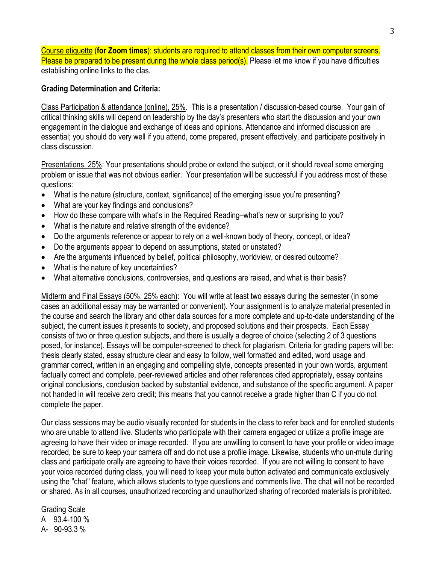Course etiquette (**for Zoom times**): students are required to attend classes from their own computer screens. Please be prepared to be present during the whole class period(s). Please let me know if you have difficulties establishing online links to the clas.

#### **Grading Determination and Criteria:**

Class Participation & attendance (online), 25%. This is a presentation / discussion-based course. Your gain of critical thinking skills will depend on leadership by the day's presenters who start the discussion and your own engagement in the dialogue and exchange of ideas and opinions. Attendance and informed discussion are essential; you should do very well if you attend, come prepared, present effectively, and participate positively in class discussion.

Presentations, 25%: Your presentations should probe or extend the subject, or it should reveal some emerging problem or issue that was not obvious earlier. Your presentation will be successful if you address most of these questions:

- What is the nature (structure, context, significance) of the emerging issue you're presenting?
- What are your key findings and conclusions?
- How do these compare with what's in the Required Reading–what's new or surprising to you?
- What is the nature and relative strength of the evidence?
- Do the arguments reference or appear to rely on a well-known body of theory, concept, or idea?
- Do the arguments appear to depend on assumptions, stated or unstated?
- Are the arguments influenced by belief, political philosophy, worldview, or desired outcome?
- What is the nature of key uncertainties?
- What alternative conclusions, controversies, and questions are raised, and what is their basis?

Midterm and Final Essays (50%, 25% each): You will write at least two essays during the semester (in some cases an additional essay may be warranted or convenient). Your assignment is to analyze material presented in the course and search the library and other data sources for a more complete and up-to-date understanding of the subject, the current issues it presents to society, and proposed solutions and their prospects. Each Essay consists of two or three question subjects, and there is usually a degree of choice (selecting 2 of 3 questions posed, for instance). Essays will be computer-screened to check for plagiarism. Criteria for grading papers will be: thesis clearly stated, essay structure clear and easy to follow, well formatted and edited, word usage and grammar correct, written in an engaging and compelling style, concepts presented in your own words, argument factually correct and complete, peer-reviewed articles and other references cited appropriately, essay contains original conclusions, conclusion backed by substantial evidence, and substance of the specific argument. A paper not handed in will receive zero credit; this means that you cannot receive a grade higher than C if you do not complete the paper.

Our class sessions may be audio visually recorded for students in the class to refer back and for enrolled students who are unable to attend live. Students who participate with their camera engaged or utilize a profile image are agreeing to have their video or image recorded. If you are unwilling to consent to have your profile or video image recorded, be sure to keep your camera off and do not use a profile image. Likewise, students who un-mute during class and participate orally are agreeing to have their voices recorded. If you are not willing to consent to have your voice recorded during class, you will need to keep your mute button activated and communicate exclusively using the "chat" feature, which allows students to type questions and comments live. The chat will not be recorded or shared. As in all courses, unauthorized recording and unauthorized sharing of recorded materials is prohibited.

Grading Scale A 93.4-100 % A- 90-93.3 %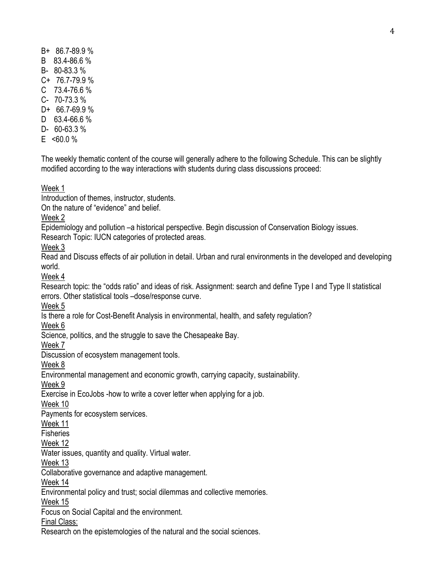- B+ 86.7-89.9 %
- B 83.4-86.6 %
- B- 80-83.3 %
- C+ 76.7-79.9 %
- C 73.4-76.6 %
- C- 70-73.3 %
- D+ 66.7-69.9 %
- D 63.4-66.6 %
- D- 60-63.3 %
- $F \leq 60.0 \%$

The weekly thematic content of the course will generally adhere to the following Schedule. This can be slightly modified according to the way interactions with students during class discussions proceed:

# Week 1

Introduction of themes, instructor, students.

On the nature of "evidence" and belief.

Week 2

Epidemiology and pollution –a historical perspective. Begin discussion of Conservation Biology issues.

Research Topic: IUCN categories of protected areas.

Week 3

Read and Discuss effects of air pollution in detail. Urban and rural environments in the developed and developing world.

Week 4

Research topic: the "odds ratio" and ideas of risk. Assignment: search and define Type I and Type II statistical errors. Other statistical tools –dose/response curve.

Week 5

Is there a role for Cost-Benefit Analysis in environmental, health, and safety regulation?

Week 6

Science, politics, and the struggle to save the Chesapeake Bay.

Week 7

Discussion of ecosystem management tools.

Week 8

Environmental management and economic growth, carrying capacity, sustainability.

Week 9

Exercise in EcoJobs -how to write a cover letter when applying for a job.

Week 10

Payments for ecosystem services.

Week 11

Fisheries

Week 12

Water issues, quantity and quality. Virtual water.

Week 13

Collaborative governance and adaptive management.

Week 14

Environmental policy and trust; social dilemmas and collective memories.

Week 15

Focus on Social Capital and the environment.

Final Class:

Research on the epistemologies of the natural and the social sciences.